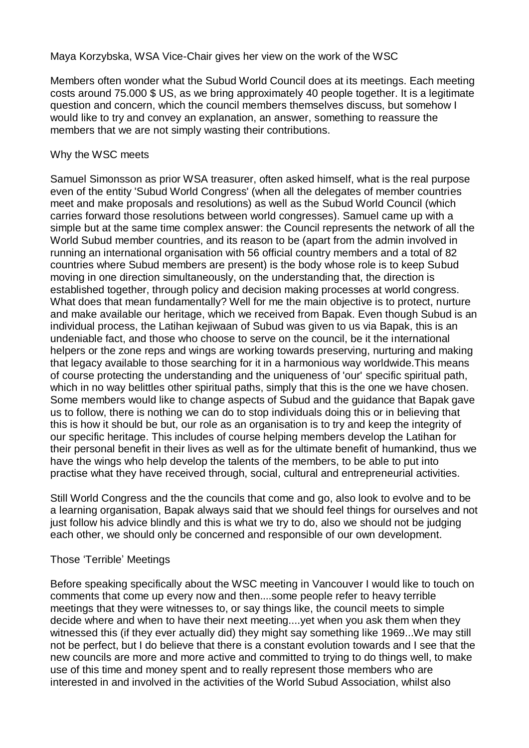Maya Korzybska, WSA Vice-Chair gives her view on the work of the WSC

Members often wonder what the Subud World Council does at its meetings. Each meeting costs around 75.000 \$ US, as we bring approximately 40 people together. It is a legitimate question and concern, which the council members themselves discuss, but somehow I would like to try and convey an explanation, an answer, something to reassure the members that we are not simply wasting their contributions.

#### Why the WSC meets

Samuel Simonsson as prior WSA treasurer, often asked himself, what is the real purpose even of the entity 'Subud World Congress' (when all the delegates of member countries meet and make proposals and resolutions) as well as the Subud World Council (which carries forward those resolutions between world congresses). Samuel came up with a simple but at the same time complex answer: the Council represents the network of all the World Subud member countries, and its reason to be (apart from the admin involved in running an international organisation with 56 official country members and a total of 82 countries where Subud members are present) is the body whose role is to keep Subud moving in one direction simultaneously, on the understanding that, the direction is established together, through policy and decision making processes at world congress. What does that mean fundamentally? Well for me the main objective is to protect, nurture and make available our heritage, which we received from Bapak. Even though Subud is an individual process, the Latihan kejiwaan of Subud was given to us via Bapak, this is an undeniable fact, and those who choose to serve on the council, be it the international helpers or the zone reps and wings are working towards preserving, nurturing and making that legacy available to those searching for it in a harmonious way worldwide.This means of course protecting the understanding and the uniqueness of 'our' specific spiritual path, which in no way belittles other spiritual paths, simply that this is the one we have chosen. Some members would like to change aspects of Subud and the guidance that Bapak gave us to follow, there is nothing we can do to stop individuals doing this or in believing that this is how it should be but, our role as an organisation is to try and keep the integrity of our specific heritage. This includes of course helping members develop the Latihan for their personal benefit in their lives as well as for the ultimate benefit of humankind, thus we have the wings who help develop the talents of the members, to be able to put into practise what they have received through, social, cultural and entrepreneurial activities.

Still World Congress and the the councils that come and go, also look to evolve and to be a learning organisation, Bapak always said that we should feel things for ourselves and not just follow his advice blindly and this is what we try to do, also we should not be judging each other, we should only be concerned and responsible of our own development.

#### Those 'Terrible' Meetings

Before speaking specifically about the WSC meeting in Vancouver I would like to touch on comments that come up every now and then....some people refer to heavy terrible meetings that they were witnesses to, or say things like, the council meets to simple decide where and when to have their next meeting....yet when you ask them when they witnessed this (if they ever actually did) they might say something like 1969...We may still not be perfect, but I do believe that there is a constant evolution towards and I see that the new councils are more and more active and committed to trying to do things well, to make use of this time and money spent and to really represent those members who are interested in and involved in the activities of the World Subud Association, whilst also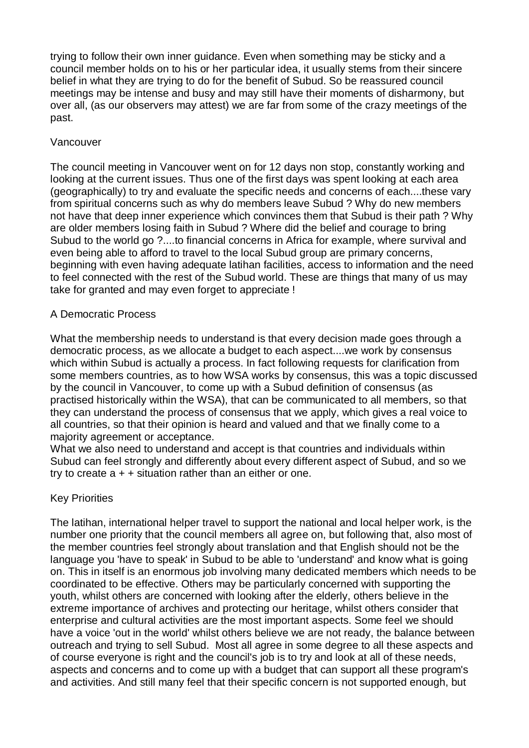trying to follow their own inner guidance. Even when something may be sticky and a council member holds on to his or her particular idea, it usually stems from their sincere belief in what they are trying to do for the benefit of Subud. So be reassured council meetings may be intense and busy and may still have their moments of disharmony, but over all, (as our observers may attest) we are far from some of the crazy meetings of the past.

## Vancouver

The council meeting in Vancouver went on for 12 days non stop, constantly working and looking at the current issues. Thus one of the first days was spent looking at each area (geographically) to try and evaluate the specific needs and concerns of each....these vary from spiritual concerns such as why do members leave Subud ? Why do new members not have that deep inner experience which convinces them that Subud is their path ? Why are older members losing faith in Subud ? Where did the belief and courage to bring Subud to the world go ?....to financial concerns in Africa for example, where survival and even being able to afford to travel to the local Subud group are primary concerns, beginning with even having adequate latihan facilities, access to information and the need to feel connected with the rest of the Subud world. These are things that many of us may take for granted and may even forget to appreciate !

## A Democratic Process

What the membership needs to understand is that every decision made goes through a democratic process, as we allocate a budget to each aspect....we work by consensus which within Subud is actually a process. In fact following requests for clarification from some members countries, as to how WSA works by consensus, this was a topic discussed by the council in Vancouver, to come up with a Subud definition of consensus (as practised historically within the WSA), that can be communicated to all members, so that they can understand the process of consensus that we apply, which gives a real voice to all countries, so that their opinion is heard and valued and that we finally come to a majority agreement or acceptance.

What we also need to understand and accept is that countries and individuals within Subud can feel strongly and differently about every different aspect of Subud, and so we try to create  $a + +$  situation rather than an either or one.

# Key Priorities

The latihan, international helper travel to support the national and local helper work, is the number one priority that the council members all agree on, but following that, also most of the member countries feel strongly about translation and that English should not be the language you 'have to speak' in Subud to be able to 'understand' and know what is going on. This in itself is an enormous job involving many dedicated members which needs to be coordinated to be effective. Others may be particularly concerned with supporting the youth, whilst others are concerned with looking after the elderly, others believe in the extreme importance of archives and protecting our heritage, whilst others consider that enterprise and cultural activities are the most important aspects. Some feel we should have a voice 'out in the world' whilst others believe we are not ready, the balance between outreach and trying to sell Subud. Most all agree in some degree to all these aspects and of course everyone is right and the council's job is to try and look at all of these needs, aspects and concerns and to come up with a budget that can support all these program's and activities. And still many feel that their specific concern is not supported enough, but